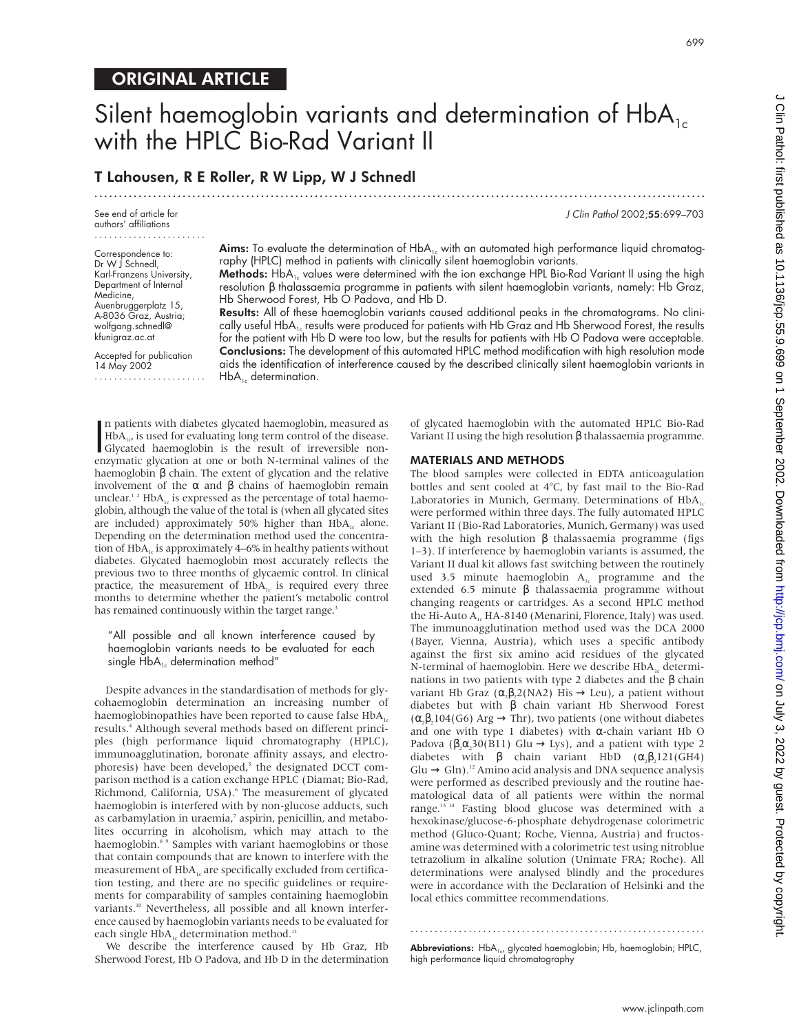# ORIGINAL ARTICLE

# Silent haemoglobin variants and determination of  $HbA_{1c}$ with the HPLC Bio-Rad Variant II

.............................................................................................................................

## T Lahousen, R E Roller, R W Lipp, W J Schnedl

See end of article for authors' affiliations

Correspondence to: Dr W | Schnedl, Karl-Franzens University, Department of Internal Medicine, Auenbruggerplatz 15, A-8036 Graz, Austria; wolfgang.schnedl@ kfunigraz.ac.at

Accepted for publication 14 May 2002 ....................... **Aims:** To evaluate the determination of HbA<sub>1c</sub> with an automated high performance liquid chromatography (HPLC) method in patients with clinically silent haemoglobin variants.

Methods: HbA<sub>1c</sub> values were determined with the ion exchange HPL Bio-Rad Variant II using the high resolution β thalassaemia programme in patients with silent haemoglobin variants, namely: Hb Graz, Hb Sherwood Forest, Hb O Padova, and Hb D.

Results: All of these haemoglobin variants caused additional peaks in the chromatograms. No clinically useful  $HbA_1$  results were produced for patients with Hb Graz and Hb Sherwood Forest, the results for the patient with Hb D were too low, but the results for patients with Hb O Padova were acceptable. Conclusions: The development of this automated HPLC method modification with high resolution mode aids the identification of interference caused by the described clinically silent haemoglobin variants in  $HbA_{1c}$  determination.

n patients with diabetes glycated haemoglobin, measured as<br>  $HbA_{1c}$  is used for evaluating long term control of the disease.<br>
Glycated haemoglobin is the result of irreversible non-<br>
enzymatic glycation at one or both N n patients with diabetes glycated haemoglobin, measured as  $HbA_{1c}$  is used for evaluating long term control of the disease. enzymatic glycation at one or both N-terminal valines of the haemoglobin β chain. The extent of glycation and the relative involvement of the α and β chains of haemoglobin remain unclear.<sup>12</sup> HbA<sub>1c</sub> is expressed as the percentage of total haemoglobin, although the value of the total is (when all glycated sites are included) approximately 50% higher than  $HbA_{1c}$  alone. Depending on the determination method used the concentration of  $HbA<sub>1c</sub>$  is approximately 4–6% in healthy patients without diabetes. Glycated haemoglobin most accurately reflects the previous two to three months of glycaemic control. In clinical practice, the measurement of  $HbA_{1c}$  is required every three months to determine whether the patient's metabolic control has remained continuously within the target range.<sup>3</sup>

"All possible and all known interference caused by haemoglobin variants needs to be evaluated for each single  $HbA_{1c}$  determination method"

Despite advances in the standardisation of methods for glycohaemoglobin determination an increasing number of haemoglobinopathies have been reported to cause false  $HbA_{1c}$ results.4 Although several methods based on different principles (high performance liquid chromatography (HPLC), immunoagglutination, boronate affinity assays, and electrophoresis) have been developed,<sup>5</sup> the designated DCCT comparison method is a cation exchange HPLC (Diamat; Bio-Rad, Richmond, California, USA).<sup>6</sup> The measurement of glycated haemoglobin is interfered with by non-glucose adducts, such as carbamylation in uraemia,<sup>7</sup> aspirin, penicillin, and metabolites occurring in alcoholism, which may attach to the haemoglobin.<sup>8</sup> 9 Samples with variant haemoglobins or those that contain compounds that are known to interfere with the measurement of  $HbA<sub>1c</sub>$  are specifically excluded from certification testing, and there are no specific guidelines or requirements for comparability of samples containing haemoglobin variants.<sup>10</sup> Nevertheless, all possible and all known interference caused by haemoglobin variants needs to be evaluated for each single  $\text{HbA}_{\text{1c}}$  determination method. $^{\text{11}}$ 

We describe the interference caused by Hb Graz, Hb Sherwood Forest, Hb O Padova, and Hb D in the determination

of glycated haemoglobin with the automated HPLC Bio-Rad Variant II using the high resolution β thalassaemia programme.

#### MATERIALS AND METHODS

The blood samples were collected in EDTA anticoagulation bottles and sent cooled at 4°C, by fast mail to the Bio-Rad Laboratories in Munich, Germany. Determinations of  $HbA_{1c}$ were performed within three days. The fully automated HPLC Variant II (Bio-Rad Laboratories, Munich, Germany) was used with the high resolution  $β$  thalassaemia programme (figs 1–3). If interference by haemoglobin variants is assumed, the Variant II dual kit allows fast switching between the routinely used 3.5 minute haemoglobin  $A_{1c}$  programme and the extended 6.5 minute β thalassaemia programme without changing reagents or cartridges. As a second HPLC method the Hi-Auto A<sub>1c</sub> HA-8140 (Menarini, Florence, Italy) was used. The immunoagglutination method used was the DCA 2000 (Bayer, Vienna, Austria), which uses a specific antibody against the first six amino acid residues of the glycated N-terminal of haemoglobin. Here we describe  $HbA_{1c}$  determinations in two patients with type 2 diabetes and the β chain variant Hb Graz ( $\alpha_2\beta_2$ 2(NA2) His  $\rightarrow$  Leu), a patient without diabetes but with β chain variant Hb Sherwood Forest  $(\alpha, \beta, 104$ (G6) Arg  $\rightarrow$  Thr), two patients (one without diabetes and one with type 1 diabetes) with  $\alpha$ -chain variant Hb O Padova ( $\beta_2 \alpha_2 30(B11)$  Glu  $\rightarrow$  Lys), and a patient with type 2 diabetes with  $\beta$  chain variant HbD  $(\alpha, \beta, 121(GH4))$  $Glu \rightarrow Gln$ ).<sup>12</sup> Amino acid analysis and DNA sequence analysis were performed as described previously and the routine haematological data of all patients were within the normal range.<sup>13 14</sup> Fasting blood glucose was determined with a hexokinase/glucose-6-phosphate dehydrogenase colorimetric method (Gluco-Quant; Roche, Vienna, Austria) and fructosamine was determined with a colorimetric test using nitroblue tetrazolium in alkaline solution (Unimate FRA; Roche). All determinations were analysed blindly and the procedures were in accordance with the Declaration of Helsinki and the local ethics committee recommendations.

............................................................. Abbreviations: HbA<sub>1c</sub>, glycated haemoglobin; Hb, haemoglobin; HPLC, high performance liquid chromatography

J Clin Pathol 2002;55:699–703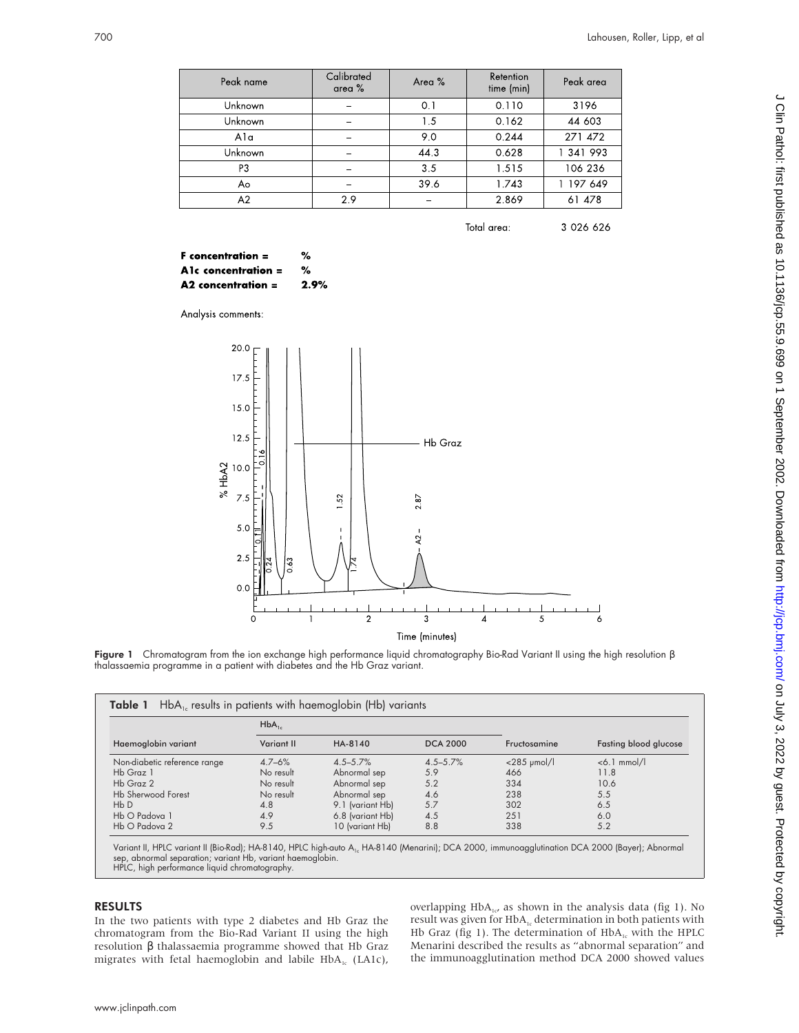| Peak name | Calibrated<br>area $%$ | Area % | Retention<br>time (min) | Peak area |
|-----------|------------------------|--------|-------------------------|-----------|
| Unknown   | -                      | 0.1    | 0.110                   | 3196      |
| Unknown   | -                      | 1.5    | 0.162                   | 44 603    |
| Ala       | -                      | 9.0    | 0.244                   | 271 472   |
| Unknown   |                        | 44.3   | 0.628                   | 1 341 993 |
| P3        |                        | 3.5    | 1.515                   | 106 236   |
| Ao        |                        | 39.6   | 1.743                   | 1 197 649 |
| A2        | 2.9                    |        | 2.869                   | 61 478    |

Total area: 3 026 626

 $%$  $F$  concentration  $=$  $%$ A1c concentration = A2 concentration = 2.9%

Analysis comments:



Figure 1 Chromatogram from the ion exchange high performance liquid chromatography Bio-Rad Variant II using the high resolution β thalassaemia programme in a patient with diabetes and the Hb Graz variant.

|                              | $HbA_{1c}$ |                  |                 |                     |                       |
|------------------------------|------------|------------------|-----------------|---------------------|-----------------------|
| Haemoglobin variant          | Variant II | HA-8140          | <b>DCA 2000</b> | Fructosamine        | Fasting blood glucose |
| Non-diabetic reference range | $4.7 - 6%$ | $4.5 - 5.7%$     | $4.5 - 5.7%$    | $<$ 285 $\mu$ mol/l | $< 6.1$ mmol/l        |
| Hb Graz 1                    | No result  | Abnormal sep     | 5.9             | 466                 | 11.8                  |
| Hb Graz 2                    | No result  | Abnormal sep     | 5.2             | 334                 | 10.6                  |
| <b>Hb Sherwood Forest</b>    | No result  | Abnormal sep     | 4.6             | 238                 | 5.5                   |
| HbD                          | 4.8        | 9.1 (variant Hb) | 5.7             | 302                 | 6.5                   |
| Hb O Padova 1                | 4.9        | 6.8 (variant Hb) | 4.5             | 251                 | 6.0                   |
| Hb O Padova 2                | 9.5        | 10 (variant Hb)  | 8.8             | 338                 | 5.2                   |

Variant II, HPLC variant II (Bio-Rad); HA-8140, HPLC high-auto A<sub>1c</sub> HA-8140 (Menarini); DCA 2000, immunoagglutination DCA 2000 (Bayer); Abnormal<br>sep, abnormal separation; variant Hb, variant haemoglobin. HPLC, high performance liquid chromatography.

#### RESULTS

In the two patients with type 2 diabetes and Hb Graz the chromatogram from the Bio-Rad Variant II using the high resolution β thalassaemia programme showed that Hb Graz migrates with fetal haemoglobin and labile  $HbA_{1c}$  (LA1c),

overlapping  $HbA_{1c}$ , as shown in the analysis data (fig 1). No result was given for  $HbA_{1c}$  determination in both patients with Hb Graz (fig 1). The determination of  $HbA_{1c}$  with the HPLC Menarini described the results as "abnormal separation" and the immunoagglutination method DCA 2000 showed values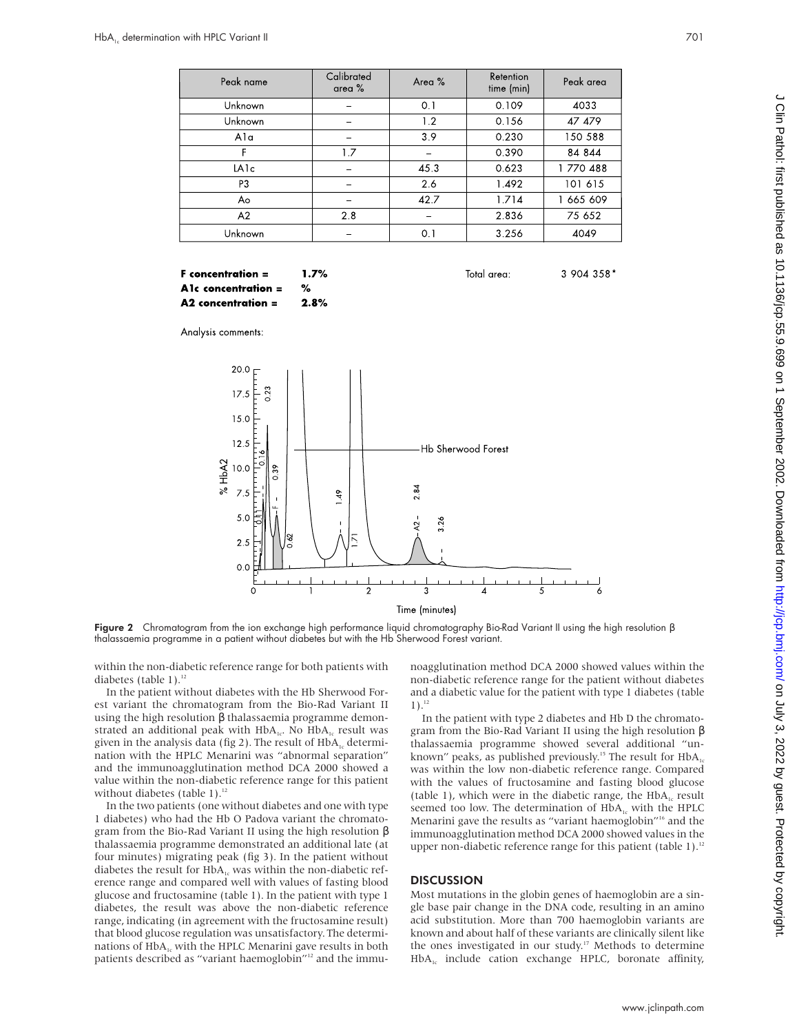| Peak name         | Calibrated<br>area $%$ | Area % | Retention<br>time (min) | Peak area |
|-------------------|------------------------|--------|-------------------------|-----------|
| Unknown           |                        | 0.1    | 0.109                   | 4033      |
| Unknown           |                        | 1.2    | 0.156                   | 47 479    |
| Ala               |                        | 3.9    | 0.230                   | 150 588   |
| F                 | 1.7                    |        | 0.390                   | 84 844    |
| LA <sub>1</sub> c |                        | 45.3   | 0.623                   | 1770488   |
| P <sub>3</sub>    |                        | 2.6    | 1.492                   | 101 615   |
| Ao                |                        | 42.7   | 1.714                   | 1 665 609 |
| A2                | 2.8                    |        | 2.836                   | 75 652    |
| Unknown           |                        | 0.1    | 3.256                   | 4049      |

#### $1.7%$  $F$  concentration  $=$ A1c concentration = % A2 concentration = 2.8%

Total area:

3 904 358\*

Analysis comments:



Figure 2 Chromatogram from the ion exchange high performance liquid chromatography Bio-Rad Variant II using the high resolution β thalassaemia programme in a patient without diabetes but with the Hb Sherwood Forest variant.

within the non-diabetic reference range for both patients with diabetes (table  $1$ ).<sup>12</sup>

In the patient without diabetes with the Hb Sherwood Forest variant the chromatogram from the Bio-Rad Variant II using the high resolution β thalassaemia programme demonstrated an additional peak with  $HbA_{1c}$ . No  $HbA_{1c}$  result was given in the analysis data (fig 2). The result of  $HbA_{1c}$  determination with the HPLC Menarini was "abnormal separation" and the immunoagglutination method DCA 2000 showed a value within the non-diabetic reference range for this patient without diabetes (table 1).<sup>12</sup>

In the two patients (one without diabetes and one with type 1 diabetes) who had the Hb O Padova variant the chromatogram from the Bio-Rad Variant II using the high resolution β thalassaemia programme demonstrated an additional late (at four minutes) migrating peak (fig 3). In the patient without diabetes the result for  $HbA_{1c}$  was within the non-diabetic reference range and compared well with values of fasting blood glucose and fructosamine (table 1). In the patient with type 1 diabetes, the result was above the non-diabetic reference range, indicating (in agreement with the fructosamine result) that blood glucose regulation was unsatisfactory. The determinations of  $HbA<sub>1c</sub>$  with the HPLC Menarini gave results in both patients described as "variant haemoglobin"<sup>12</sup> and the immunoagglutination method DCA 2000 showed values within the non-diabetic reference range for the patient without diabetes and a diabetic value for the patient with type 1 diabetes (table  $1$ ).<sup>12</sup>

In the patient with type 2 diabetes and Hb D the chromatogram from the Bio-Rad Variant II using the high resolution β thalassaemia programme showed several additional "unknown" peaks, as published previously.<sup>15</sup> The result for  $HbA_1$ was within the low non-diabetic reference range. Compared with the values of fructosamine and fasting blood glucose (table 1), which were in the diabetic range, the  $HbA<sub>1c</sub>$  result seemed too low. The determination of  $HbA_{1c}$  with the HPLC Menarini gave the results as "variant haemoglobin"<sup>16</sup> and the immunoagglutination method DCA 2000 showed values in the upper non-diabetic reference range for this patient (table 1).<sup>12</sup>

#### DISCUSSION

Most mutations in the globin genes of haemoglobin are a single base pair change in the DNA code, resulting in an amino acid substitution. More than 700 haemoglobin variants are known and about half of these variants are clinically silent like the ones investigated in our study.<sup>17</sup> Methods to determine HbA<sub>1c</sub> include cation exchange HPLC, boronate affinity,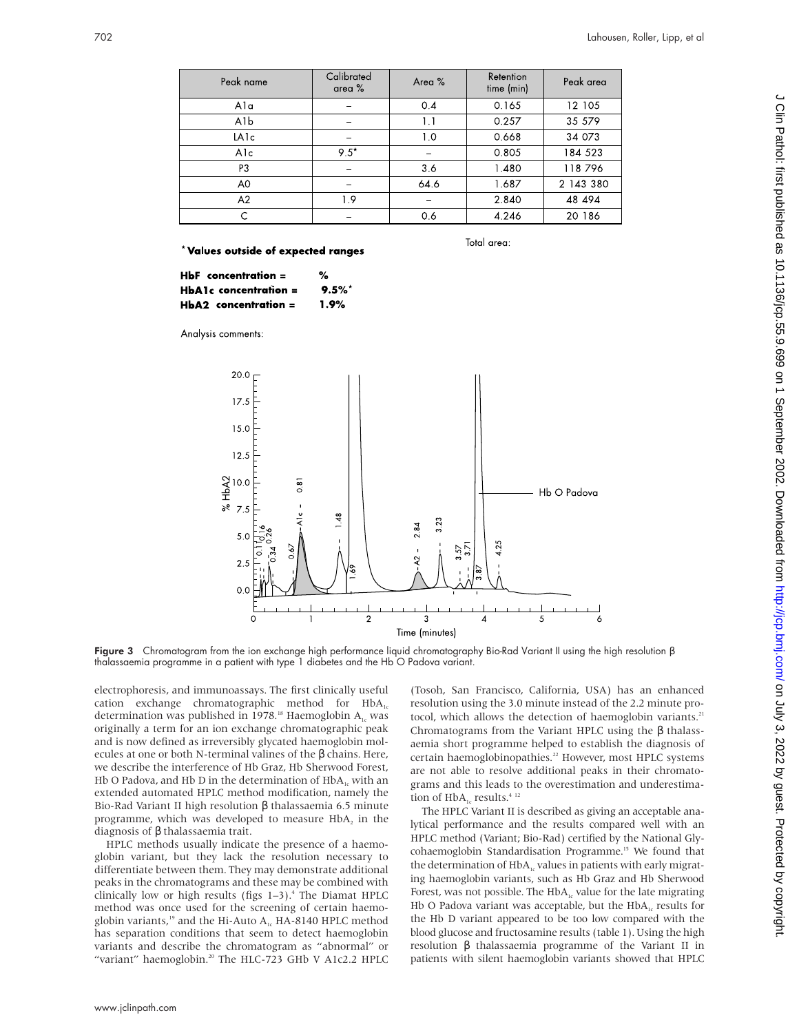| Peak name      | Calibrated<br>area $%$   | Area % | Retention<br>time (min) | Peak area |
|----------------|--------------------------|--------|-------------------------|-----------|
| Ala            |                          | 0.4    | 0.165                   | 12 105    |
| A1b            |                          | 1.1    | 0.257                   | 35 579    |
| LA1c           |                          | 1.0    | 0.668                   | 34 073    |
| A1c            | $9.5*$                   |        | 0.805                   | 184 523   |
| P3             |                          | 3.6    | 1.480                   | 118796    |
| A <sub>0</sub> | $\overline{\phantom{0}}$ | 64.6   | 1.687                   | 2 143 380 |
| A2             | 1.9                      |        | 2.840                   | 48 494    |
|                |                          | 0.6    | 4.246                   | 20 186    |

\*Values outside of expected ranges

Total area:

| $HbF$ concentration $=$ | %    |
|-------------------------|------|
| $HbA1c$ concentration = | 9.5% |
| $HbA2$ concentration =  | 1.9% |

Analysis comments:



Figure 3 Chromatogram from the ion exchange high performance liquid chromatography Bio-Rad Variant II using the high resolution β thalassaemia programme in a patient with type 1 diabetes and the Hb O Padova variant.

electrophoresis, and immunoassays. The first clinically useful cation exchange chromatographic method for  $HbA_1c$ determination was published in 1978.<sup>18</sup> Haemoglobin  $A_{1c}$  was originally a term for an ion exchange chromatographic peak and is now defined as irreversibly glycated haemoglobin molecules at one or both N-terminal valines of the β chains. Here, we describe the interference of Hb Graz, Hb Sherwood Forest, Hb O Padova, and Hb D in the determination of  $HbA_{1c}$  with an extended automated HPLC method modification, namely the Bio-Rad Variant II high resolution β thalassaemia 6.5 minute programme, which was developed to measure  $HbA<sub>2</sub>$  in the diagnosis of β thalassaemia trait.

HPLC methods usually indicate the presence of a haemoglobin variant, but they lack the resolution necessary to differentiate between them. They may demonstrate additional peaks in the chromatograms and these may be combined with clinically low or high results (figs  $1-3$ ).<sup>4</sup> The Diamat HPLC method was once used for the screening of certain haemoglobin variants,<sup>19</sup> and the Hi-Auto  $A_{1c}$  HA-8140 HPLC method has separation conditions that seem to detect haemoglobin variants and describe the chromatogram as "abnormal" or "variant" haemoglobin.<sup>20</sup> The HLC-723 GHb V A1c2.2 HPLC (Tosoh, San Francisco, California, USA) has an enhanced resolution using the 3.0 minute instead of the 2.2 minute protocol, which allows the detection of haemoglobin variants.<sup>21</sup> Chromatograms from the Variant HPLC using the β thalassaemia short programme helped to establish the diagnosis of certain haemoglobinopathies.<sup>22</sup> However, most HPLC systems are not able to resolve additional peaks in their chromatograms and this leads to the overestimation and underestimation of  $HbA_{1c}$  results.<sup>4 12</sup>

The HPLC Variant II is described as giving an acceptable analytical performance and the results compared well with an HPLC method (Variant; Bio-Rad) certified by the National Glycohaemoglobin Standardisation Programme.<sup>15</sup> We found that the determination of  $HbA<sub>1c</sub>$  values in patients with early migrating haemoglobin variants, such as Hb Graz and Hb Sherwood Forest, was not possible. The  $HbA_{1c}$  value for the late migrating Hb O Padova variant was acceptable, but the  $HbA<sub>1c</sub>$  results for the Hb D variant appeared to be too low compared with the blood glucose and fructosamine results (table 1). Using the high resolution β thalassaemia programme of the Variant II in patients with silent haemoglobin variants showed that HPLC